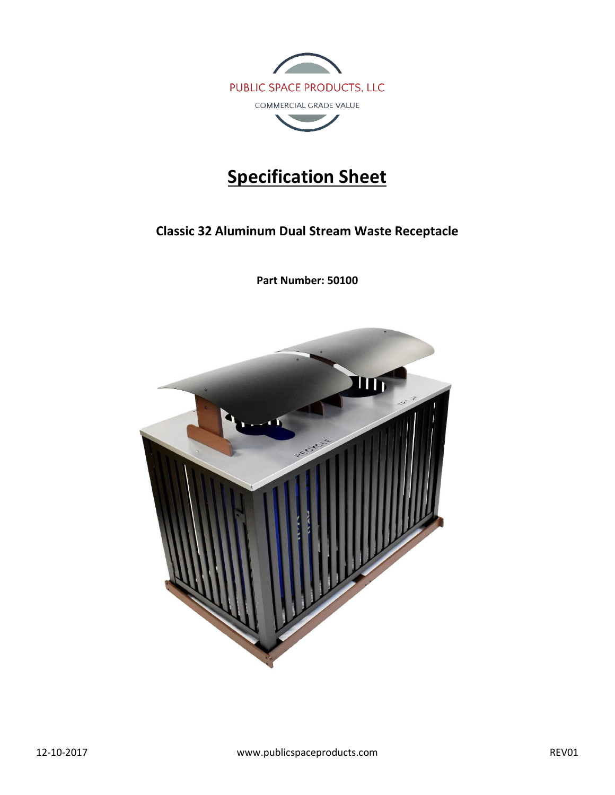

# **Specification Sheet**

**Classic 32 Aluminum Dual Stream Waste Receptacle**

**Part Number: 50100**

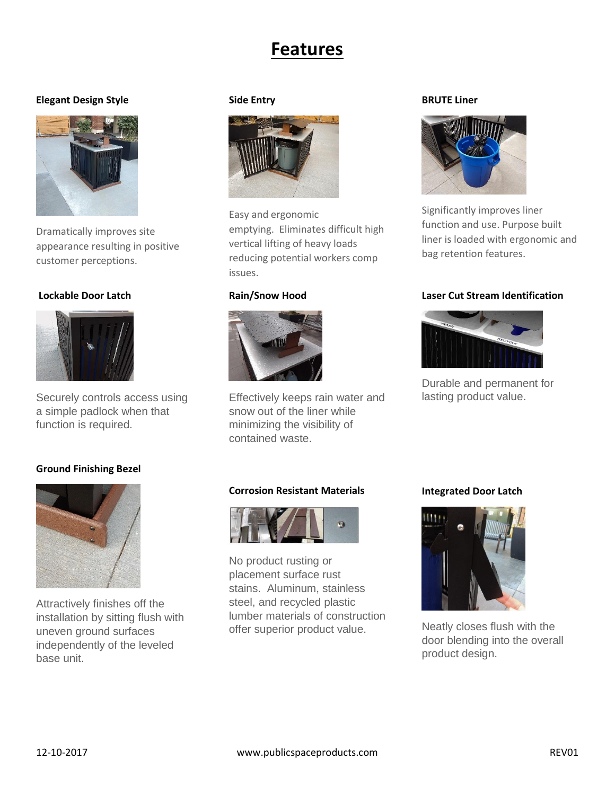## **Features**

#### **Elegant Design Style**



Dramatically improves site appearance resulting in positive customer perceptions.

#### **Lockable Door Latch**



Securely controls access using a simple padlock when that function is required.

### **Ground Finishing Bezel**



Attractively finishes off the installation by sitting flush with uneven ground surfaces independently of the leveled base unit.

#### **Side Entry**



Easy and ergonomic emptying. Eliminates difficult high vertical lifting of heavy loads reducing potential workers comp issues.

#### **Rain/Snow Hood**



Effectively keeps rain water and snow out of the liner while minimizing the visibility of contained waste.

#### **BRUTE Liner**



Significantly improves liner function and use. Purpose built liner is loaded with ergonomic and bag retention features.

#### **Laser Cut Stream Identification**



Durable and permanent for lasting product value.

#### **Corrosion Resistant Materials**



No product rusting or placement surface rust stains. Aluminum, stainless steel, and recycled plastic lumber materials of construction offer superior product value.

#### **Integrated Door Latch**



Neatly closes flush with the door blending into the overall product design.